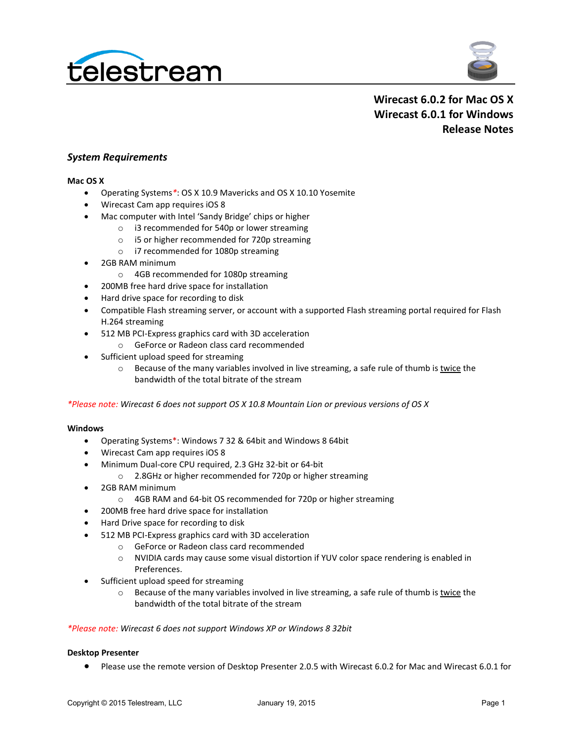



# **Wirecast 6.0.2 for Mac OS X Wirecast 6.0.1 for Windows Release Notes**

### *System Requirements*

#### **Mac OS X**

- Operating Systems*\**: OS X 10.9 Mavericks and OS X 10.10 Yosemite
- Wirecast Cam app requires iOS 8
- Mac computer with Intel 'Sandy Bridge' chips or higher
	- o i3 recommended for 540p or lower streaming
	- o i5 or higher recommended for 720p streaming
	- o i7 recommended for 1080p streaming
- 2GB RAM minimum
	- o 4GB recommended for 1080p streaming
- 200MB free hard drive space for installation
- Hard drive space for recording to disk
- Compatible Flash streaming server, or account with a supported Flash streaming portal required for Flash H.264 streaming
- 512 MB PCI-Express graphics card with 3D acceleration
	- o GeForce or Radeon class card recommended
- Sufficient upload speed for streaming
	- $\circ$  Because of the many variables involved in live streaming, a safe rule of thumb is twice the bandwidth of the total bitrate of the stream

*\*Please note: Wirecast 6 does not support OS X 10.8 Mountain Lion or previous versions of OS X*

#### **Windows**

- Operating Systems\*: Windows 7 32 & 64bit and Windows 8 64bit
- Wirecast Cam app requires iOS 8
- Minimum Dual-core CPU required, 2.3 GHz 32-bit or 64-bit
	- o 2.8GHz or higher recommended for 720p or higher streaming
- 2GB RAM minimum
	- o 4GB RAM and 64-bit OS recommended for 720p or higher streaming
- 200MB free hard drive space for installation
- Hard Drive space for recording to disk
- 512 MB PCI-Express graphics card with 3D acceleration
	- o GeForce or Radeon class card recommended
	- o NVIDIA cards may cause some visual distortion if YUV color space rendering is enabled in Preferences.
- Sufficient upload speed for streaming
	- $\circ$  Because of the many variables involved in live streaming, a safe rule of thumb is twice the bandwidth of the total bitrate of the stream

#### *\*Please note: Wirecast 6 does not support Windows XP or Windows 8 32bit*

### **Desktop Presenter**

• Please use the remote version of Desktop Presenter 2.0.5 with Wirecast 6.0.2 for Mac and Wirecast 6.0.1 for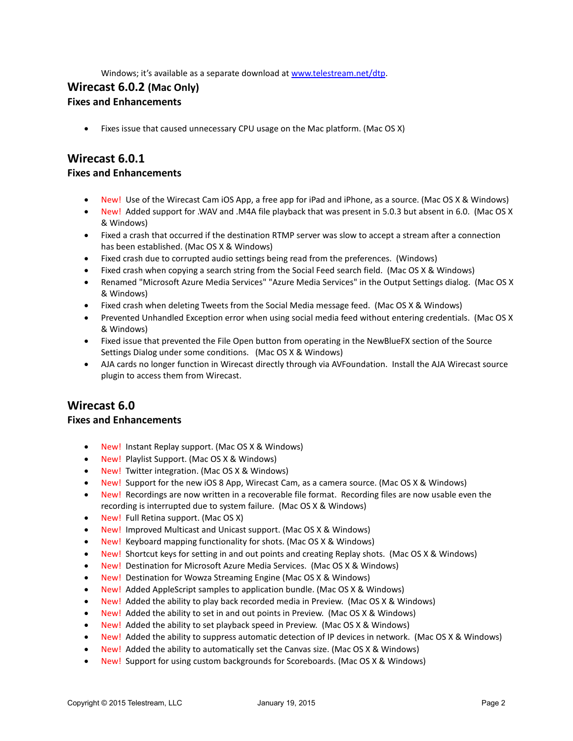Windows; it's available as a separate download a[t www.telestream.net/dtp.](http://www.telestream.net/dtp)

# **Wirecast 6.0.2 (Mac Only)**

## **Fixes and Enhancements**

• Fixes issue that caused unnecessary CPU usage on the Mac platform. (Mac OS X)

# **Wirecast 6.0.1**

### **Fixes and Enhancements**

- New! Use of the Wirecast Cam iOS App, a free app for iPad and iPhone, as a source. (Mac OS X & Windows)
- New! Added support for .WAV and .M4A file playback that was present in 5.0.3 but absent in 6.0. (Mac OS X & Windows)
- Fixed a crash that occurred if the destination RTMP server was slow to accept a stream after a connection has been established. (Mac OS X & Windows)
- Fixed crash due to corrupted audio settings being read from the preferences. (Windows)
- Fixed crash when copying a search string from the Social Feed search field. (Mac OS X & Windows)
- Renamed "Microsoft Azure Media Services" "Azure Media Services" in the Output Settings dialog. (Mac OS X & Windows)
- Fixed crash when deleting Tweets from the Social Media message feed. (Mac OS X & Windows)
- Prevented Unhandled Exception error when using social media feed without entering credentials. (Mac OS X & Windows)
- Fixed issue that prevented the File Open button from operating in the NewBlueFX section of the Source Settings Dialog under some conditions. (Mac OS X & Windows)
- AJA cards no longer function in Wirecast directly through via AVFoundation. Install the AJA Wirecast source plugin to access them from Wirecast.

# **Wirecast 6.0**

## **Fixes and Enhancements**

- New! Instant Replay support. (Mac OS X & Windows)
- New! Playlist Support. (Mac OS X & Windows)
- New! Twitter integration. (Mac OS X & Windows)
- New! Support for the new iOS 8 App, Wirecast Cam, as a camera source. (Mac OS X & Windows)
- New! Recordings are now written in a recoverable file format. Recording files are now usable even the recording is interrupted due to system failure. (Mac OS X & Windows)
- New! Full Retina support. (Mac OS X)
- New! Improved Multicast and Unicast support. (Mac OS X & Windows)
- New! Keyboard mapping functionality for shots. (Mac OS X & Windows)
- New! Shortcut keys for setting in and out points and creating Replay shots. (Mac OS X & Windows)
- New! Destination for Microsoft Azure Media Services. (Mac OS X & Windows)
- New! Destination for Wowza Streaming Engine (Mac OS X & Windows)
- New! Added AppleScript samples to application bundle. (Mac OS X & Windows)
- New! Added the ability to play back recorded media in Preview. (Mac OS X & Windows)
- New! Added the ability to set in and out points in Preview. (Mac OS X & Windows)
- New! Added the ability to set playback speed in Preview. (Mac OS X & Windows)
- New! Added the ability to suppress automatic detection of IP devices in network. (Mac OS X & Windows)
- New! Added the ability to automatically set the Canvas size. (Mac OS X & Windows)
- New! Support for using custom backgrounds for Scoreboards. (Mac OS X & Windows)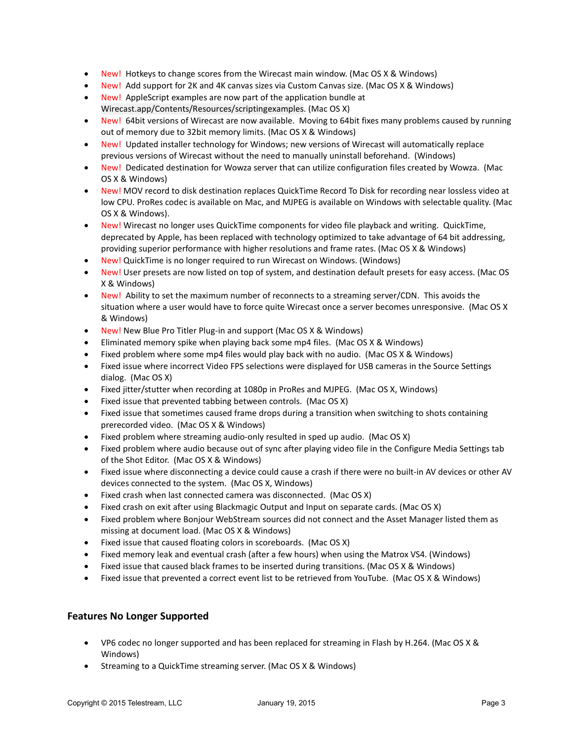- New! Hotkeys to change scores from the Wirecast main window. (Mac OS X & Windows)
- New! Add support for 2K and 4K canvas sizes via Custom Canvas size. (Mac OS X & Windows)
- New! AppleScript examples are now part of the application bundle at Wirecast.app/Contents/Resources/scriptingexamples. (Mac OS X)
- New! 64bit versions of Wirecast are now available. Moving to 64bit fixes many problems caused by running out of memory due to 32bit memory limits. (Mac OS X & Windows)
- New! Updated installer technology for Windows; new versions of Wirecast will automatically replace previous versions of Wirecast without the need to manually uninstall beforehand. (Windows)
- New! Dedicated destination for Wowza server that can utilize configuration files created by Wowza. (Mac OS X & Windows)
- New! MOV record to disk destination replaces QuickTime Record To Disk for recording near lossless video at low CPU. ProRes codec is available on Mac, and MJPEG is available on Windows with selectable quality. (Mac OS X & Windows).
- New! Wirecast no longer uses QuickTime components for video file playback and writing. QuickTime, deprecated by Apple, has been replaced with technology optimized to take advantage of 64 bit addressing, providing superior performance with higher resolutions and frame rates. (Mac OS X & Windows)
- New! QuickTime is no longer required to run Wirecast on Windows. (Windows)
- New! User presets are now listed on top of system, and destination default presets for easy access. (Mac OS X & Windows)
- New! Ability to set the maximum number of reconnects to a streaming server/CDN. This avoids the situation where a user would have to force quite Wirecast once a server becomes unresponsive. (Mac OS X & Windows)
- New! New Blue Pro Titler Plug-in and support (Mac OS X & Windows)
- Eliminated memory spike when playing back some mp4 files. (Mac OS X & Windows)
- Fixed problem where some mp4 files would play back with no audio. (Mac OS X & Windows)
- Fixed issue where incorrect Video FPS selections were displayed for USB cameras in the Source Settings dialog. (Mac OS X)
- Fixed jitter/stutter when recording at 1080p in ProRes and MJPEG. (Mac OS X, Windows)
- Fixed issue that prevented tabbing between controls. (Mac OS X)
- Fixed issue that sometimes caused frame drops during a transition when switching to shots containing prerecorded video. (Mac OS X & Windows)
- Fixed problem where streaming audio-only resulted in sped up audio. (Mac OS X)
- Fixed problem where audio because out of sync after playing video file in the Configure Media Settings tab of the Shot Editor. (Mac OS X & Windows)
- Fixed issue where disconnecting a device could cause a crash if there were no built-in AV devices or other AV devices connected to the system. (Mac OS X, Windows)
- Fixed crash when last connected camera was disconnected. (Mac OS X)
- Fixed crash on exit after using Blackmagic Output and Input on separate cards. (Mac OS X)
- Fixed problem where Bonjour WebStream sources did not connect and the Asset Manager listed them as missing at document load. (Mac OS X & Windows)
- Fixed issue that caused floating colors in scoreboards. (Mac OS X)
- Fixed memory leak and eventual crash (after a few hours) when using the Matrox VS4. (Windows)
- Fixed issue that caused black frames to be inserted during transitions. (Mac OS X & Windows)
- Fixed issue that prevented a correct event list to be retrieved from YouTube. (Mac OS X & Windows)

## **Features No Longer Supported**

- VP6 codec no longer supported and has been replaced for streaming in Flash by H.264. (Mac OS X & Windows)
- Streaming to a QuickTime streaming server. (Mac OS X & Windows)